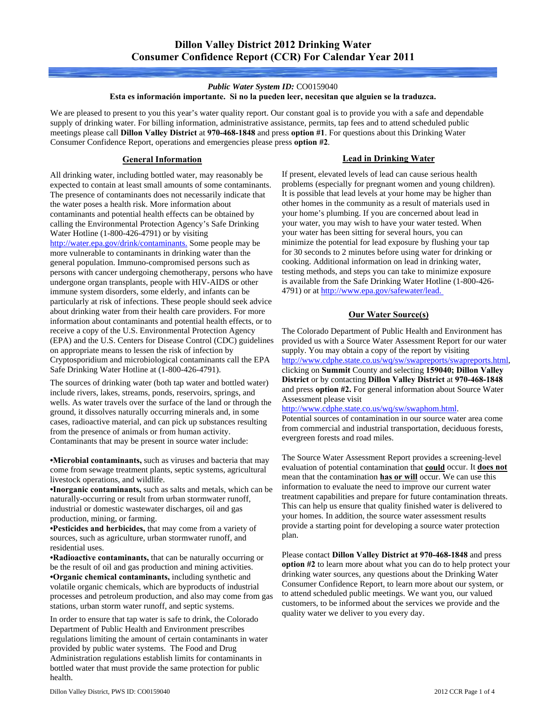#### *Public Water System ID:* CO0159040

#### **Esta es información importante. Si no la pueden leer, necesitan que alguien se la traduzca.**

We are pleased to present to you this year's water quality report. Our constant goal is to provide you with a safe and dependable supply of drinking water. For billing information, administrative assistance, permits, tap fees and to attend scheduled public meetings please call **Dillon Valley District** at **970-468-1848** and press **option #1**. For questions about this Drinking Water Consumer Confidence Report, operations and emergencies please press **option #2**.

## **General Information**

All drinking water, including bottled water, may reasonably be expected to contain at least small amounts of some contaminants. The presence of contaminants does not necessarily indicate that the water poses a health risk. More information about contaminants and potential health effects can be obtained by calling the Environmental Protection Agency's Safe Drinking Water Hotline (1-800-426-4791) or by visiting [http://water.epa.gov/drink/contaminants.](http://water.epa.gov/drink/contaminants/) Some people may be more vulnerable to contaminants in drinking water than the general population. Immuno-compromised persons such as persons with cancer undergoing chemotherapy, persons who have undergone organ transplants, people with HIV-AIDS or other immune system disorders, some elderly, and infants can be particularly at risk of infections. These people should seek advice about drinking water from their health care providers. For more information about contaminants and potential health effects, or to receive a copy of the U.S. Environmental Protection Agency (EPA) and the U.S. Centers for Disease Control (CDC) guidelines on appropriate means to lessen the risk of infection by Cryptosporidium and microbiological contaminants call the EPA Safe Drinking Water Hotline at (1-800-426-4791).

The sources of drinking water (both tap water and bottled water) include rivers, lakes, streams, ponds, reservoirs, springs, and wells. As water travels over the surface of the land or through the ground, it dissolves naturally occurring minerals and, in some cases, radioactive material, and can pick up substances resulting from the presence of animals or from human activity. Contaminants that may be present in source water include:

**•Microbial contaminants,** such as viruses and bacteria that may come from sewage treatment plants, septic systems, agricultural livestock operations, and wildlife.

**•Inorganic contaminants,** such as salts and metals, which can be naturally-occurring or result from urban stormwater runoff, industrial or domestic wastewater discharges, oil and gas production, mining, or farming.

**•Pesticides and herbicides,** that may come from a variety of sources, such as agriculture, urban stormwater runoff, and residential uses.

**•Radioactive contaminants,** that can be naturally occurring or be the result of oil and gas production and mining activities. **•Organic chemical contaminants,** including synthetic and volatile organic chemicals, which are byproducts of industrial processes and petroleum production, and also may come from gas stations, urban storm water runoff, and septic systems.

In order to ensure that tap water is safe to drink, the Colorado Department of Public Health and Environment prescribes regulations limiting the amount of certain contaminants in water provided by public water systems. The Food and Drug Administration regulations establish limits for contaminants in bottled water that must provide the same protection for public health.

### **Lead in Drinking Water**

If present, elevated levels of lead can cause serious health problems (especially for pregnant women and young children). It is possible that lead levels at your home may be higher than other homes in the community as a result of materials used in your home's plumbing. If you are concerned about lead in your water, you may wish to have your water tested. When your water has been sitting for several hours, you can minimize the potential for lead exposure by flushing your tap for 30 seconds to 2 minutes before using water for drinking or cooking. Additional information on lead in drinking water, testing methods, and steps you can take to minimize exposure is available from the Safe Drinking Water Hotline (1-800-426- 4791) or at [http://www.epa.gov/safewater/lead.](http://www.epa.gov/safewater/lead) 

## **Our Water Source(s)**

The Colorado Department of Public Health and Environment has provided us with a Source Water Assessment Report for our water supply. You may obtain a copy of the report by visiting <http://www.cdphe.state.co.us/wq/sw/swapreports/swapreports.html>, clicking on **Summit** County and selecting **159040; Dillon Valley** 

**District** or by contacting **Dillon Valley District** at **970-468-1848**  and press **option #2.** For general information about Source Water Assessment please visit

<http://www.cdphe.state.co.us/wq/sw/swaphom.html>.

Potential sources of contamination in our source water area come from commercial and industrial transportation, deciduous forests, evergreen forests and road miles.

The Source Water Assessment Report provides a screening-level evaluation of potential contamination that **could** occur. It **does not** mean that the contamination **has or will** occur. We can use this information to evaluate the need to improve our current water treatment capabilities and prepare for future contamination threats. This can help us ensure that quality finished water is delivered to your homes. In addition, the source water assessment results provide a starting point for developing a source water protection plan.

Please contact **Dillon Valley District at 970-468-1848** and press **option #2** to learn more about what you can do to help protect your drinking water sources, any questions about the Drinking Water Consumer Confidence Report, to learn more about our system, or to attend scheduled public meetings. We want you, our valued customers, to be informed about the services we provide and the quality water we deliver to you every day.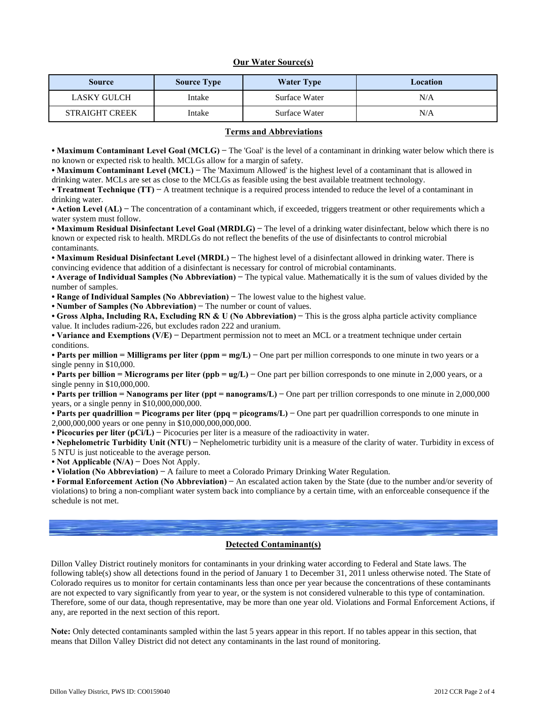#### **Our Water Source(s)**

| <b>Source</b>         | <b>Source Type</b> | <b>Water Type</b> | Location |  |  |  |  |
|-----------------------|--------------------|-------------------|----------|--|--|--|--|
| <b>LASKY GULCH</b>    | Intake             | Surface Water     | N/A      |  |  |  |  |
| <b>STRAIGHT CREEK</b> | Intake             | Surface Water     | N/A      |  |  |  |  |

#### **Terms and Abbreviations**

**• Maximum Contaminant Level Goal (MCLG) −** The 'Goal' is the level of a contaminant in drinking water below which there is no known or expected risk to health. MCLGs allow for a margin of safety.

**• Maximum Contaminant Level (MCL) −** The 'Maximum Allowed' is the highest level of a contaminant that is allowed in drinking water. MCLs are set as close to the MCLGs as feasible using the best available treatment technology.

**• Treatment Technique (TT) −** A treatment technique is a required process intended to reduce the level of a contaminant in drinking water.

**• Action Level (AL) −** The concentration of a contaminant which, if exceeded, triggers treatment or other requirements which a water system must follow.

**• Maximum Residual Disinfectant Level Goal (MRDLG) −** The level of a drinking water disinfectant, below which there is no known or expected risk to health. MRDLGs do not reflect the benefits of the use of disinfectants to control microbial contaminants.

**• Maximum Residual Disinfectant Level (MRDL) −** The highest level of a disinfectant allowed in drinking water. There is convincing evidence that addition of a disinfectant is necessary for control of microbial contaminants.

**• Average of Individual Samples (No Abbreviation) −** The typical value. Mathematically it is the sum of values divided by the number of samples.

**• Range of Individual Samples (No Abbreviation) −** The lowest value to the highest value.

**• Number of Samples (No Abbreviation) −** The number or count of values.

**• Gross Alpha, Including RA, Excluding RN & U (No Abbreviation) −** This is the gross alpha particle activity compliance value. It includes radium-226, but excludes radon 222 and uranium.

**• Variance and Exemptions (V/E) −** Department permission not to meet an MCL or a treatment technique under certain conditions.

**• Parts per million = Milligrams per liter (ppm = mg/L) −** One part per million corresponds to one minute in two years or a single penny in \$10,000.

**• Parts per billion = Micrograms per liter (ppb = ug/L) −** One part per billion corresponds to one minute in 2,000 years, or a single penny in \$10,000,000.

**• Parts per trillion = Nanograms per liter (ppt = nanograms/L) −** One part per trillion corresponds to one minute in 2,000,000 years, or a single penny in \$10,000,000,000.

**• Parts per quadrillion = Picograms per liter (ppq = picograms/L) −** One part per quadrillion corresponds to one minute in 2,000,000,000 years or one penny in \$10,000,000,000,000.

**• Picocuries per liter (pCi/L) −** Picocuries per liter is a measure of the radioactivity in water.

**• Nephelometric Turbidity Unit (NTU) −** Nephelometric turbidity unit is a measure of the clarity of water. Turbidity in excess of

5 NTU is just noticeable to the average person.

**• Not Applicable (N/A) −** Does Not Apply.

**• Violation (No Abbreviation) −** A failure to meet a Colorado Primary Drinking Water Regulation.

**• Formal Enforcement Action (No Abbreviation) −** An escalated action taken by the State (due to the number and/or severity of violations) to bring a non-compliant water system back into compliance by a certain time, with an enforceable consequence if the schedule is not met.

#### **Detected Contaminant(s)**

Dillon Valley District routinely monitors for contaminants in your drinking water according to Federal and State laws. The following table(s) show all detections found in the period of January 1 to December 31, 2011 unless otherwise noted. The State of Colorado requires us to monitor for certain contaminants less than once per year because the concentrations of these contaminants are not expected to vary significantly from year to year, or the system is not considered vulnerable to this type of contamination. Therefore, some of our data, though representative, may be more than one year old. Violations and Formal Enforcement Actions, if any, are reported in the next section of this report.

**Note:** Only detected contaminants sampled within the last 5 years appear in this report. If no tables appear in this section, that means that Dillon Valley District did not detect any contaminants in the last round of monitoring.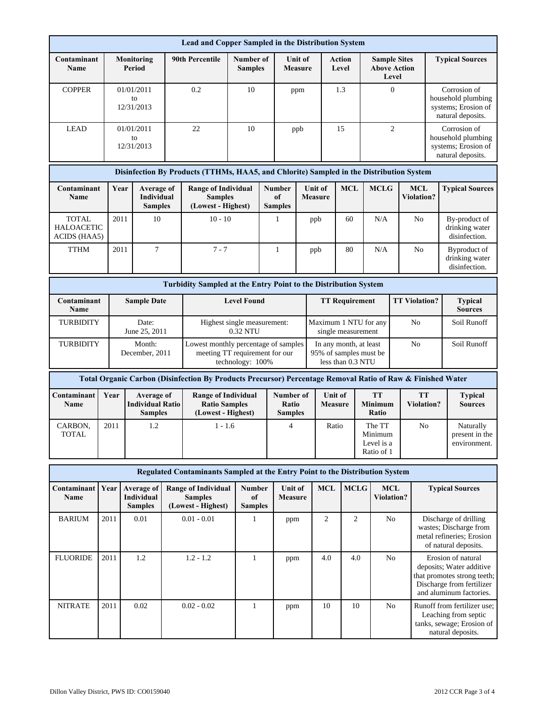| Lead and Copper Sampled in the Distribution System                                      |                                                                 |                                                    |                                |                                                                                                             |                                                                                                            |                    |                                                                       |                                             |                                                            |                           |            |                                               |                                                     |                        |                                                                                                                                       |                                                                                                       |                                                                                                      |  |
|-----------------------------------------------------------------------------------------|-----------------------------------------------------------------|----------------------------------------------------|--------------------------------|-------------------------------------------------------------------------------------------------------------|------------------------------------------------------------------------------------------------------------|--------------------|-----------------------------------------------------------------------|---------------------------------------------|------------------------------------------------------------|---------------------------|------------|-----------------------------------------------|-----------------------------------------------------|------------------------|---------------------------------------------------------------------------------------------------------------------------------------|-------------------------------------------------------------------------------------------------------|------------------------------------------------------------------------------------------------------|--|
| Contaminant<br><b>Name</b>                                                              |                                                                 | <b>Monitoring</b><br>Period                        |                                | 90th Percentile<br>Number of<br><b>Samples</b>                                                              |                                                                                                            |                    | <b>Unit of</b><br><b>Measure</b>                                      |                                             |                                                            | Action<br>Level           |            |                                               | <b>Sample Sites</b><br><b>Above Action</b><br>Level |                        | <b>Typical Sources</b>                                                                                                                |                                                                                                       |                                                                                                      |  |
| <b>COPPER</b>                                                                           |                                                                 |                                                    | 01/01/2011<br>to<br>12/31/2013 |                                                                                                             | 0.2                                                                                                        | 10                 |                                                                       | ppm                                         |                                                            |                           | 1.3        |                                               | $\overline{0}$                                      |                        |                                                                                                                                       |                                                                                                       | Corrosion of<br>household plumbing<br>systems; Erosion of<br>natural deposits.                       |  |
| <b>LEAD</b>                                                                             |                                                                 |                                                    | 01/01/2011<br>to<br>12/31/2013 |                                                                                                             | 22                                                                                                         | 10                 |                                                                       |                                             | ppb                                                        |                           | 15         |                                               | $\mathfrak{2}$                                      |                        |                                                                                                                                       | Corrosion of<br>household plumbing<br>systems; Erosion of<br>natural deposits.                        |                                                                                                      |  |
| Disinfection By Products (TTHMs, HAA5, and Chlorite) Sampled in the Distribution System |                                                                 |                                                    |                                |                                                                                                             |                                                                                                            |                    |                                                                       |                                             |                                                            |                           |            |                                               |                                                     |                        |                                                                                                                                       |                                                                                                       |                                                                                                      |  |
| Contaminant<br>Name                                                                     |                                                                 | Year<br>Average of<br>Individual<br><b>Samples</b> |                                |                                                                                                             | <b>Range of Individual</b><br><b>Samples</b><br>(Lowest - Highest)                                         |                    |                                                                       | Number<br>of<br><b>Samples</b>              |                                                            | Unit of<br><b>Measure</b> | <b>MCL</b> |                                               | <b>MCLG</b>                                         |                        | MCL<br><b>Violation?</b>                                                                                                              |                                                                                                       | <b>Typical Sources</b>                                                                               |  |
| <b>TOTAL</b><br><b>HALOACETIC</b><br>ACIDS (HAA5)                                       | 2011                                                            |                                                    | 10                             |                                                                                                             | $10 - 10$                                                                                                  |                    |                                                                       | 1                                           |                                                            | ppb                       | 60         |                                               | N/A                                                 |                        | No                                                                                                                                    |                                                                                                       | By-product of<br>drinking water<br>disinfection.                                                     |  |
| <b>TTHM</b>                                                                             | 2011                                                            |                                                    | 7                              |                                                                                                             | $7 - 7$                                                                                                    |                    |                                                                       | 1                                           |                                                            | ppb                       | 80         |                                               | N/A                                                 |                        | No                                                                                                                                    |                                                                                                       | Byproduct of<br>drinking water<br>disinfection.                                                      |  |
|                                                                                         |                                                                 |                                                    |                                |                                                                                                             | <b>Turbidity Sampled at the Entry Point to the Distribution System</b>                                     |                    |                                                                       |                                             |                                                            |                           |            |                                               |                                                     |                        |                                                                                                                                       |                                                                                                       |                                                                                                      |  |
| Contaminant<br><b>Sample Date</b><br>Name                                               |                                                                 |                                                    |                                |                                                                                                             |                                                                                                            | <b>Level Found</b> |                                                                       | <b>TT Requirement</b>                       |                                                            |                           |            | <b>TT Violation?</b>                          |                                                     |                        | <b>Typical</b><br><b>Sources</b>                                                                                                      |                                                                                                       |                                                                                                      |  |
| TURBIDITY                                                                               | Date:<br>June 25, 2011                                          |                                                    |                                |                                                                                                             | Highest single measurement:<br>0.32 NTU                                                                    |                    |                                                                       | Maximum 1 NTU for any<br>single measurement |                                                            | N <sub>o</sub>            |            |                                               |                                                     | Soil Runoff            |                                                                                                                                       |                                                                                                       |                                                                                                      |  |
| TURBIDITY<br>Month:<br>December, 2011                                                   |                                                                 |                                                    |                                |                                                                                                             | Lowest monthly percentage of samples<br>meeting TT requirement for our                                     | technology: 100%   | In any month, at least<br>95% of samples must be<br>less than 0.3 NTU |                                             |                                                            |                           |            |                                               | N <sub>o</sub>                                      |                        | Soil Runoff                                                                                                                           |                                                                                                       |                                                                                                      |  |
|                                                                                         |                                                                 |                                                    |                                |                                                                                                             | Total Organic Carbon (Disinfection By Products Precursor) Percentage Removal Ratio of Raw & Finished Water |                    |                                                                       |                                             |                                                            |                           |            |                                               |                                                     |                        |                                                                                                                                       |                                                                                                       |                                                                                                      |  |
| Contaminant<br>Name                                                                     | Year<br>Average of<br><b>Individual Ratio</b><br><b>Samples</b> |                                                    |                                |                                                                                                             | <b>Range of Individual</b><br><b>Ratio Samples</b><br>(Lowest - Highest)                                   |                    |                                                                       |                                             | Number of<br>Unit of<br>Ratio<br>Measure<br><b>Samples</b> |                           |            |                                               | <b>TT</b><br><b>Minimum</b><br>Ratio                |                        | TT<br><b>Violation?</b>                                                                                                               |                                                                                                       | <b>Typical</b><br><b>Sources</b>                                                                     |  |
| CARBON.<br><b>TOTAL</b>                                                                 | 2011                                                            | 1.2                                                |                                |                                                                                                             | $1 - 1.6$                                                                                                  |                    | $\overline{4}$                                                        |                                             |                                                            | Ratio                     |            | The TT<br>Minimum<br>Level is a<br>Ratio of 1 |                                                     | No                     |                                                                                                                                       |                                                                                                       | Naturally<br>present in the<br>environment.                                                          |  |
|                                                                                         |                                                                 |                                                    |                                |                                                                                                             | Regulated Contaminants Sampled at the Entry Point to the Distribution System                               |                    |                                                                       |                                             |                                                            |                           |            |                                               |                                                     |                        |                                                                                                                                       |                                                                                                       |                                                                                                      |  |
| Contaminant<br>Name                                                                     | Year                                                            | Average of<br>Individual<br><b>Samples</b>         |                                | <b>Range of Individual</b><br><b>Number</b><br><b>Samples</b><br>of<br>(Lowest - Highest)<br><b>Samples</b> |                                                                                                            |                    | Unit of<br><b>Measure</b>                                             |                                             | <b>MCL</b>                                                 | <b>MCLG</b>               |            | <b>MCL</b><br><b>Violation?</b>               |                                                     | <b>Typical Sources</b> |                                                                                                                                       |                                                                                                       |                                                                                                      |  |
| <b>BARIUM</b>                                                                           | 2011                                                            |                                                    | 0.01                           | $0.01 - 0.01$                                                                                               |                                                                                                            | $\mathbf{1}$       |                                                                       | ppm                                         |                                                            | 2                         |            | 2                                             | No                                                  |                        |                                                                                                                                       |                                                                                                       | Discharge of drilling<br>wastes; Discharge from<br>metal refineries; Erosion<br>of natural deposits. |  |
| <b>FLUORIDE</b>                                                                         | 2011                                                            |                                                    | 1.2                            | $1.2 - 1.2$                                                                                                 |                                                                                                            | $\mathbf{1}$       |                                                                       | ppm                                         |                                                            | 4.0                       |            | 4.0                                           | N <sub>o</sub>                                      |                        | Erosion of natural<br>deposits; Water additive<br>that promotes strong teeth;<br>Discharge from fertilizer<br>and aluminum factories. |                                                                                                       |                                                                                                      |  |
| <b>NITRATE</b>                                                                          | 2011                                                            |                                                    | 0.02                           | $0.02 - 0.02$                                                                                               |                                                                                                            | $\mathbf{1}$       |                                                                       | ppm                                         |                                                            | 10                        |            | 10                                            |                                                     | No                     |                                                                                                                                       | Runoff from fertilizer use;<br>Leaching from septic<br>tanks, sewage; Erosion of<br>natural deposits. |                                                                                                      |  |